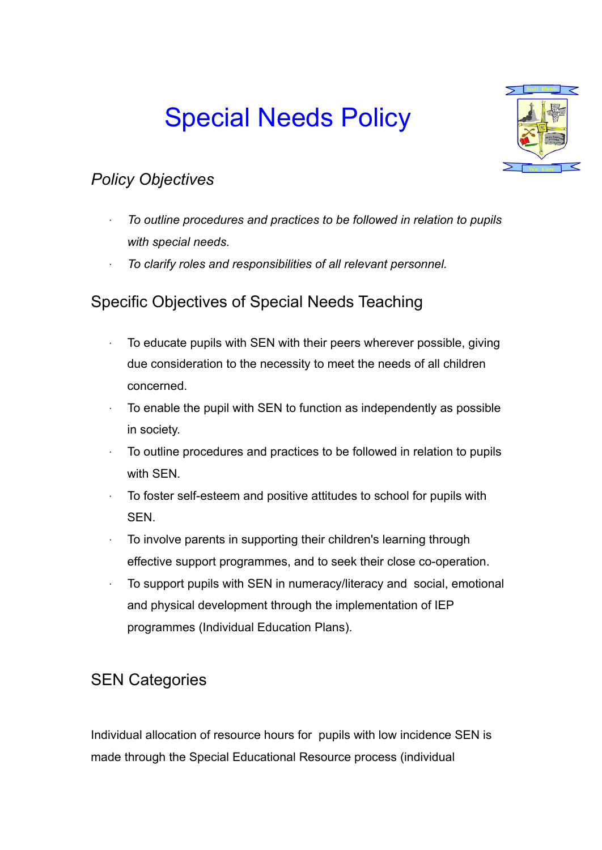# Special Needs Policy



# *Policy Objectives*

- *∙ To outline procedures and practices to be followed in relation to pupils with special needs.*
- *∙ To clarify roles and responsibilities of all relevant personnel.*

# Specific Objectives of Special Needs Teaching

- ∙ To educate pupils with SEN with their peers wherever possible, giving due consideration to the necessity to meet the needs of all children concerned.
- ∙ To enable the pupil with SEN to function as independently as possible in society.
- ∙ To outline procedures and practices to be followed in relation to pupils with SEN.
- To foster self-esteem and positive attitudes to school for pupils with SEN.
- ∙ To involve parents in supporting their children's learning through effective support programmes, and to seek their close co-operation.
- ∙ To support pupils with SEN in numeracy/literacy and social, emotional and physical development through the implementation of IEP programmes (Individual Education Plans).

## SEN Categories

Individual allocation of resource hours for pupils with low incidence SEN is made through the Special Educational Resource process (individual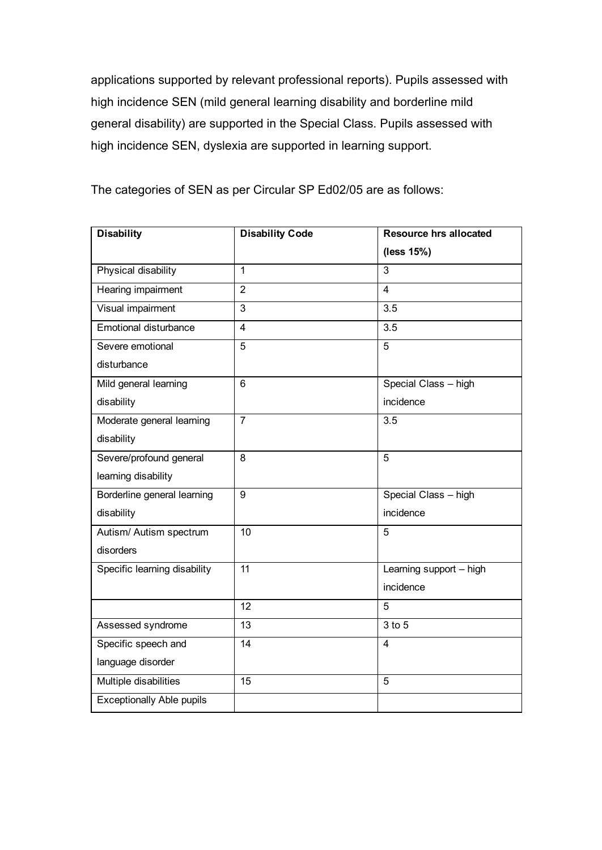applications supported by relevant professional reports). Pupils assessed with high incidence SEN (mild general learning disability and borderline mild general disability) are supported in the Special Class. Pupils assessed with high incidence SEN, dyslexia are supported in learning support.

The categories of SEN as per Circular SP Ed02/05 are as follows:

| <b>Disability</b>                | <b>Disability Code</b> | <b>Resource hrs allocated</b> |
|----------------------------------|------------------------|-------------------------------|
|                                  |                        | (less 15%)                    |
| Physical disability              | $\mathbf{1}$           | 3                             |
| Hearing impairment               | $\overline{2}$         | $\overline{4}$                |
| Visual impairment                | 3                      | 3.5                           |
| Emotional disturbance            | $\overline{4}$         | 3.5                           |
| Severe emotional                 | $\overline{5}$         | $\overline{5}$                |
| disturbance                      |                        |                               |
| Mild general learning            | $6\phantom{1}$         | Special Class - high          |
| disability                       |                        | incidence                     |
| Moderate general learning        | $\overline{7}$         | 3.5                           |
| disability                       |                        |                               |
| Severe/profound general          | 8                      | 5                             |
| learning disability              |                        |                               |
| Borderline general learning      | 9                      | Special Class - high          |
| disability                       |                        | incidence                     |
| Autism/ Autism spectrum          | 10                     | 5                             |
| disorders                        |                        |                               |
| Specific learning disability     | 11                     | Learning support - high       |
|                                  |                        | incidence                     |
|                                  | 12                     | 5                             |
| Assessed syndrome                | 13                     | 3 to 5                        |
| Specific speech and              | 14                     | 4                             |
| language disorder                |                        |                               |
| Multiple disabilities            | 15                     | 5                             |
| <b>Exceptionally Able pupils</b> |                        |                               |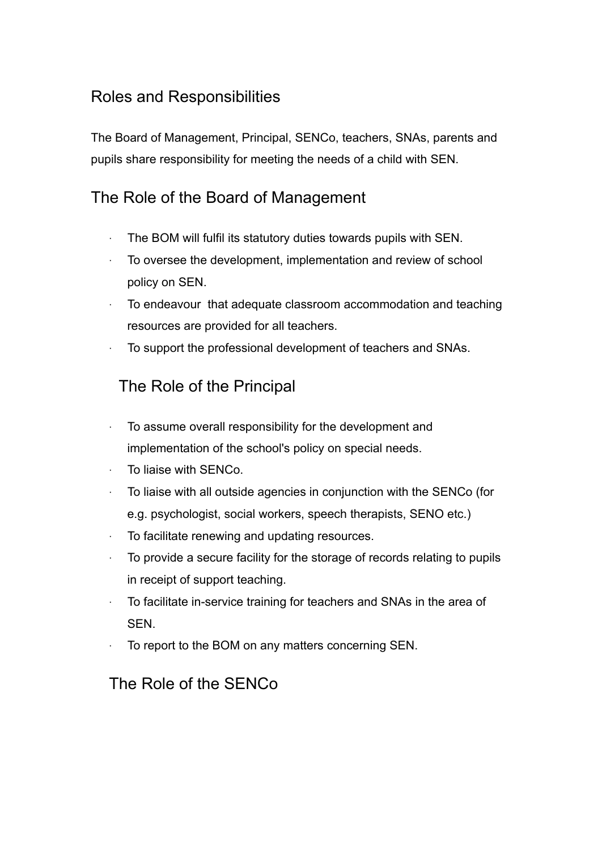## Roles and Responsibilities

The Board of Management, Principal, SENCo, teachers, SNAs, parents and pupils share responsibility for meeting the needs of a child with SEN.

## The Role of the Board of Management

- The BOM will fulfil its statutory duties towards pupils with SEN.
- ∙ To oversee the development, implementation and review of school policy on SEN.
- ∙ To endeavour that adequate classroom accommodation and teaching resources are provided for all teachers.
- ∙ To support the professional development of teachers and SNAs.

## The Role of the Principal

- ∙ To assume overall responsibility for the development and implementation of the school's policy on special needs.
- ∙ To liaise with SENCo.
- ∙ To liaise with all outside agencies in conjunction with the SENCo (for e.g. psychologist, social workers, speech therapists, SENO etc.)
- ∙ To facilitate renewing and updating resources.
- ∙ To provide a secure facility for the storage of records relating to pupils in receipt of support teaching.
- To facilitate in-service training for teachers and SNAs in the area of SEN.
- ∙ To report to the BOM on any matters concerning SEN.

### The Role of the SENCo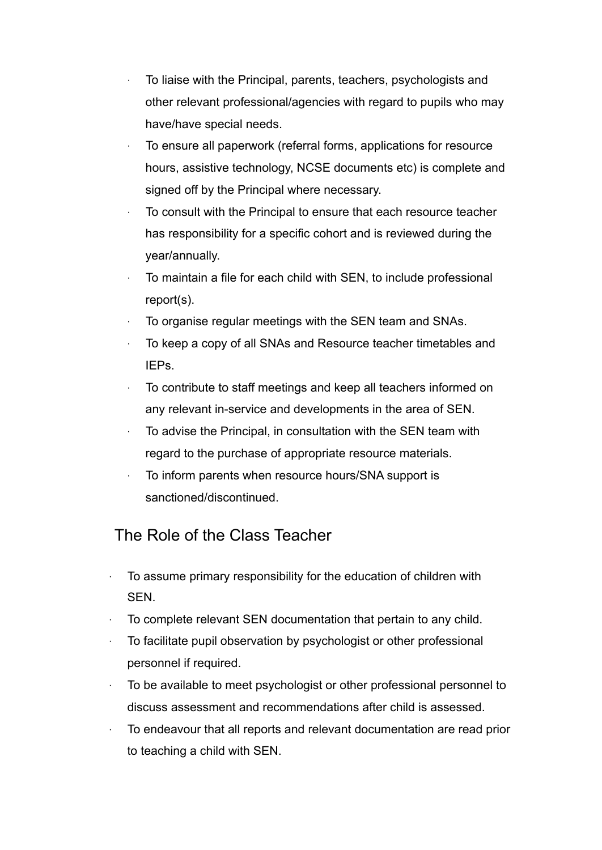- ∙ To liaise with the Principal, parents, teachers, psychologists and other relevant professional/agencies with regard to pupils who may have/have special needs.
- ∙ To ensure all paperwork (referral forms, applications for resource hours, assistive technology, NCSE documents etc) is complete and signed off by the Principal where necessary.
- ∙ To consult with the Principal to ensure that each resource teacher has responsibility for a specific cohort and is reviewed during the year/annually.
- ∙ To maintain a file for each child with SEN, to include professional report(s).
- ∙ To organise regular meetings with the SEN team and SNAs.
- ∙ To keep a copy of all SNAs and Resource teacher timetables and IEPs.
- ∙ To contribute to staff meetings and keep all teachers informed on any relevant in-service and developments in the area of SEN.
- ∙ To advise the Principal, in consultation with the SEN team with regard to the purchase of appropriate resource materials.
- ∙ To inform parents when resource hours/SNA support is sanctioned/discontinued.

# The Role of the Class Teacher

- ∙ To assume primary responsibility for the education of children with SEN.
- ∙ To complete relevant SEN documentation that pertain to any child.
- ∙ To facilitate pupil observation by psychologist or other professional personnel if required.
- ∙ To be available to meet psychologist or other professional personnel to discuss assessment and recommendations after child is assessed.
- ∙ To endeavour that all reports and relevant documentation are read prior to teaching a child with SEN.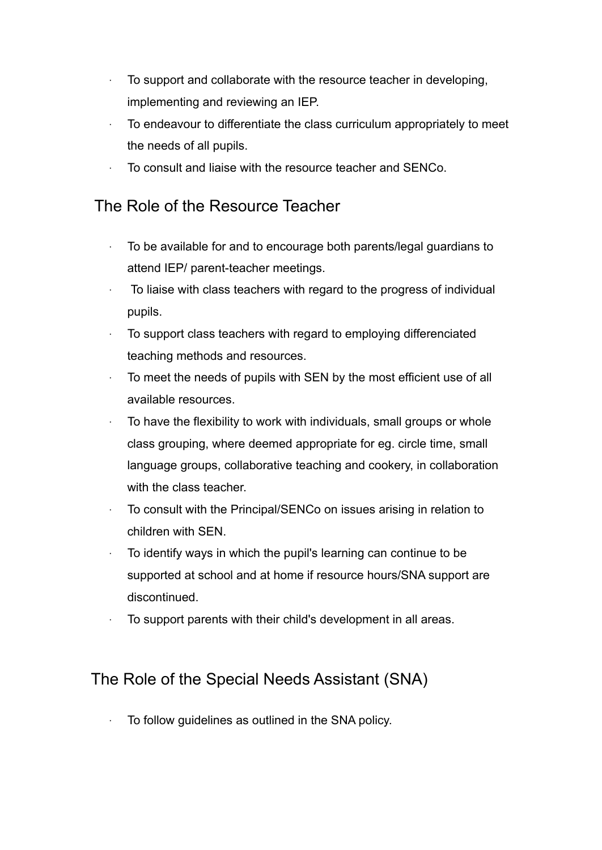- ∙ To support and collaborate with the resource teacher in developing, implementing and reviewing an IEP.
- ∙ To endeavour to differentiate the class curriculum appropriately to meet the needs of all pupils.
- ∙ To consult and liaise with the resource teacher and SENCo.

#### The Role of the Resource Teacher

- ∙ To be available for and to encourage both parents/legal guardians to attend IEP/ parent-teacher meetings.
- ∙ To liaise with class teachers with regard to the progress of individual pupils.
- ∙ To support class teachers with regard to employing differenciated teaching methods and resources.
- ∙ To meet the needs of pupils with SEN by the most efficient use of all available resources.
- ∙ To have the flexibility to work with individuals, small groups or whole class grouping, where deemed appropriate for eg. circle time, small language groups, collaborative teaching and cookery, in collaboration with the class teacher.
- ∙ To consult with the Principal/SENCo on issues arising in relation to children with SEN.
- ∙ To identify ways in which the pupil's learning can continue to be supported at school and at home if resource hours/SNA support are discontinued.
- ∙ To support parents with their child's development in all areas.

### The Role of the Special Needs Assistant (SNA)

∙ To follow guidelines as outlined in the SNA policy.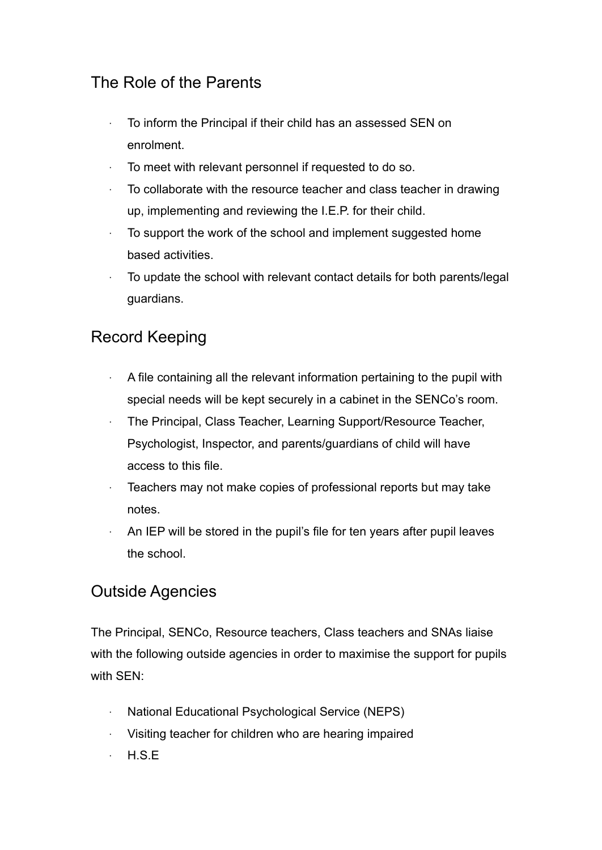## The Role of the Parents

- ∙ To inform the Principal if their child has an assessed SEN on enrolment.
- ∙ To meet with relevant personnel if requested to do so.
- ∙ To collaborate with the resource teacher and class teacher in drawing up, implementing and reviewing the I.E.P. for their child.
- ∙ To support the work of the school and implement suggested home based activities.
- ∙ To update the school with relevant contact details for both parents/legal guardians.

## Record Keeping

- ∙ A file containing all the relevant information pertaining to the pupil with special needs will be kept securely in a cabinet in the SENCo's room.
- ∙ The Principal, Class Teacher, Learning Support/Resource Teacher, Psychologist, Inspector, and parents/guardians of child will have access to this file.
- ∙ Teachers may not make copies of professional reports but may take notes.
- ∙ An IEP will be stored in the pupil's file for ten years after pupil leaves the school.

#### Outside Agencies

The Principal, SENCo, Resource teachers, Class teachers and SNAs liaise with the following outside agencies in order to maximise the support for pupils with SEN:

- ∙ National Educational Psychological Service (NEPS)
- ∙ Visiting teacher for children who are hearing impaired
- ∙ H.S.E